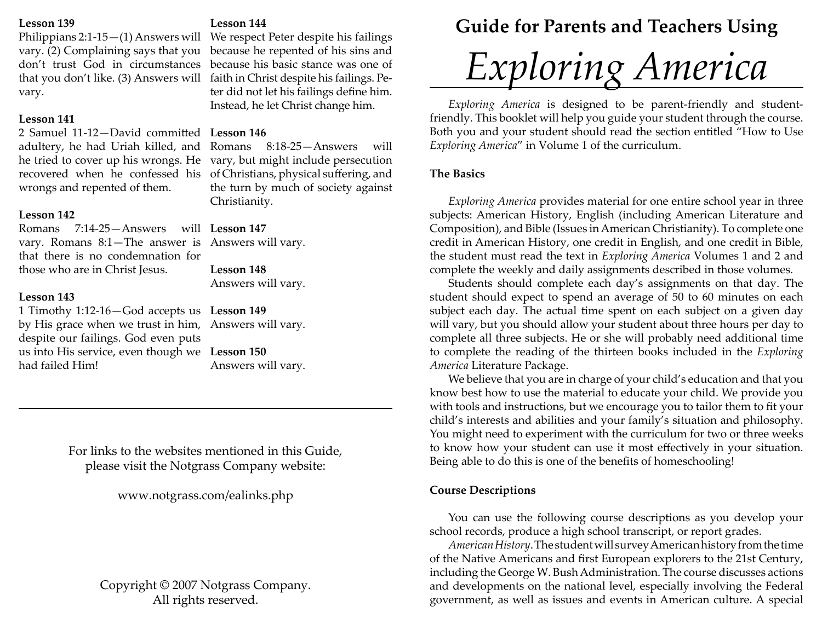## **Lesson 139**

vary. (2) Complaining says that you because he repented of his sins and don't trust God in circumstances because his basic stance was one of that you don't like. (3) Answers will faith in Christ despite his failings. Pevary.

# **Lesson 141**

2 Samuel 11-12—David committed L**esson 146** wrongs and repented of them.

# **Lesson 142**

Romans 7:14-25—Answers will **Lesson 147**vary. Romans 8:1—The answer is Answers will vary. that there is no condemnation for those who are in Christ Jesus.

# **Lesson 143**

1 Timothy 1:12-16—God accepts us **Lesson 149** by His grace when we trust in him, Answers will vary. despite our failings. God even puts us into His service, even though we **Lesson 150** had failed Him!

# **Lesson 144**

Philippians 2:1-15—(1) Answers will We respect Peter despite his failings ter did not let his failings define him. Instead, he let Christ change him.

adultery, he had Uriah killed, and Romans 8:18-25—Answers will he tried to cover up his wrongs. He vary, but might include persecution recovered when he confessed his of Christians, physical suffering, and the turn by much of society against Christianity.

**Lesson 148**

Answers will vary.

Answers will vary.

For links to the websites mentioned in this Guide, please visit the Notgrass Company website:

www.notgrass.com/ealinks.php

Copyright © 2007 Notgrass Company. All rights reserved.

# **Guide for Parents and Teachers Using**

# *Exploring America*

*Exploring America* is designed to be parent-friendly and studentfriendly. This booklet will help you guide your student through the course. Both you and your student should read the section entitled "How to Use *Exploring America*" in Volume 1 of the curriculum.

# **The Basics**

*Exploring America* provides material for one entire school year in three subjects: American History, English (including American Literature and Composition), and Bible (Issues in American Christianity). To complete one credit in American History, one credit in English, and one credit in Bible, the student must read the text in *Exploring America* Volumes 1 and 2 and complete the weekly and daily assignments described in those volumes.

Students should complete each day's assignments on that day. The student should expect to spend an average of 50 to 60 minutes on each subject each day. The actual time spent on each subject on a given day will vary, but you should allow your student about three hours per day to complete all three subjects. He or she will probably need additional time to complete the reading of the thirteen books included in the *Exploring America* Literature Package.

We believe that you are in charge of your child's education and that you know best how to use the material to educate your child. We provide you with tools and instructions, but we encourage you to tailor them to fi t your child's interests and abilities and your family's situation and philosophy. You might need to experiment with the curriculum for two or three weeks to know how your student can use it most effectively in your situation. Being able to do this is one of the benefits of homeschooling!

# **Course Descriptions**

You can use the following course descriptions as you develop your school records, produce a high school transcript, or report grades.

*American History*. The student will survey American history from the time of the Native Americans and first European explorers to the 21st Century, including the George W. Bush Administration. The course discusses actions and developments on the national level, especially involving the Federal government, as well as issues and events in American culture. A special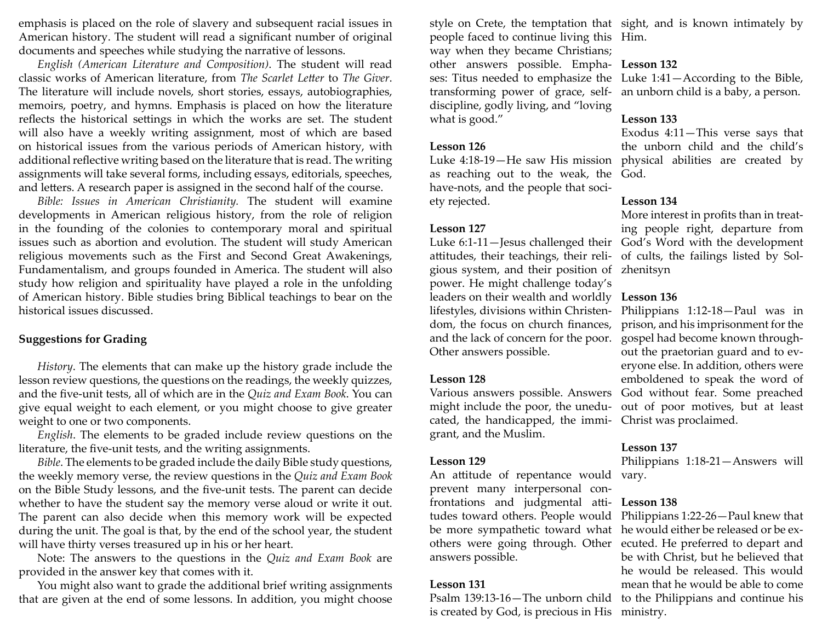emphasis is placed on the role of slavery and subsequent racial issues in American history. The student will read a significant number of original documents and speeches while studying the narrative of lessons.

*English (American Literature and Composition)*. The student will read classic works of American literature, from *The Scarlet Le tt er* to *The Giver*. The literature will include novels, short stories, essays, autobiographies, memoirs, poetry, and hymns. Emphasis is placed on how the literature reflects the historical settings in which the works are set. The student will also have a weekly writing assignment, most of which are based on historical issues from the various periods of American history, with additional re fl ective writing based on the literature that is read. The writing assignments will take several forms, including essays, editorials, speeches, and letters. A research paper is assigned in the second half of the course.

*Bible: Issues in American Christianity.* The student will examine developments in American religious history, from the role of religion in the founding of the colonies to contemporary moral and spiritual issues such as abortion and evolution. The student will study American religious movements such as the First and Second Great Awakenings, Fundamentalism, and groups founded in America. The student will also study how religion and spirituality have played a role in the unfolding of American history. Bible studies bring Biblical teachings to bear on the historical issues discussed.

### **Suggestions for Grading**

*History*. The elements that can make up the history grade include the lesson review questions, the questions on the readings, the weekly quizzes, and the fi ve-unit tests, all of which are in the *Quiz and Exam Book*. You can give equal weight to each element, or you might choose to give greater weight to one or two components.

*English*. The elements to be graded include review questions on the literature, the fi ve-unit tests, and the writing assignments.

*Bible*. The elements to be graded include the daily Bible study questions, the weekly memory verse, the review questions in the *Quiz and Exam Book* on the Bible Study lessons, and the fi ve-unit tests. The parent can decide whether to have the student say the memory verse aloud or write it out. The parent can also decide when this memory work will be expected during the unit. The goal is that, by the end of the school year, the student will have thirty verses treasured up in his or her heart.

Note: The answers to the questions in the *Quiz and Exam Book* are provided in the answer key that comes with it.

You might also want to grade the additional brief writing assignments that are given at the end of some lessons. In addition, you might choose

people faced to continue living this Him. way when they became Christians; other answers possible. Empha-**Lesson 132** ses: Titus needed to emphasize the Luke 1:41—According to the Bible, transforming power of grace, self-an unborn child is a baby, a person. discipline, godly living, and "loving what is good."

### **Lesson 126**

Luke 4:18-19—He saw His mission physical abilities are created by as reaching out to the weak, the God. have-nots, and the people that society rejected.

# **Lesson 127**

Luke 6:1-11—Jesus challenged their God's Word with the development attitudes, their teachings, their religious system, and their position of zhenitsyn power. He might challenge today's leaders on their wealth and worldly **Lesson 136** lifestyles, divisions within Christendom, the focus on church finances, and the lack of concern for the poor. Other answers possible.

# **Lesson 128**

cated, the handicapped, the immi-Christ was proclaimed. grant, and the Muslim.

# **Lesson 129**

An attitude of repentance would vary. prevent many interpersonal confrontations and judgmental attitudes toward others. People would be more sympathetic toward what he would either be released or be exanswers possible.

### **Lesson 131**

Psalm 139:13-16—The unborn child to the Philippians and continue his is created by God, is precious in His ministry.

style on Crete, the temptation that sight, and is known intimately by

# **Lesson 133**

Exodus 4:11—This verse says that the unborn child and the child's

# **Lesson 134**

More interest in profits than in treating people right, departure from of cults, the failings listed by Sol-

Various answers possible. Answers God without fear. Some preached might include the poor, the unedu-out of poor motives, but at least Philippians 1:12-18—Paul was in prison, and his imprisonment for the gospel had become known throughout the praetorian guard and to everyone else. In addition, others were emboldened to speak the word of

### **Lesson 137**

Philippians 1:18-21—Answers will

### **Lesson 138**

others were going through. Other ecuted. He preferred to depart and Philippians 1:22-26—Paul knew that be with Christ, but he believed that he would be released. This would mean that he would be able to come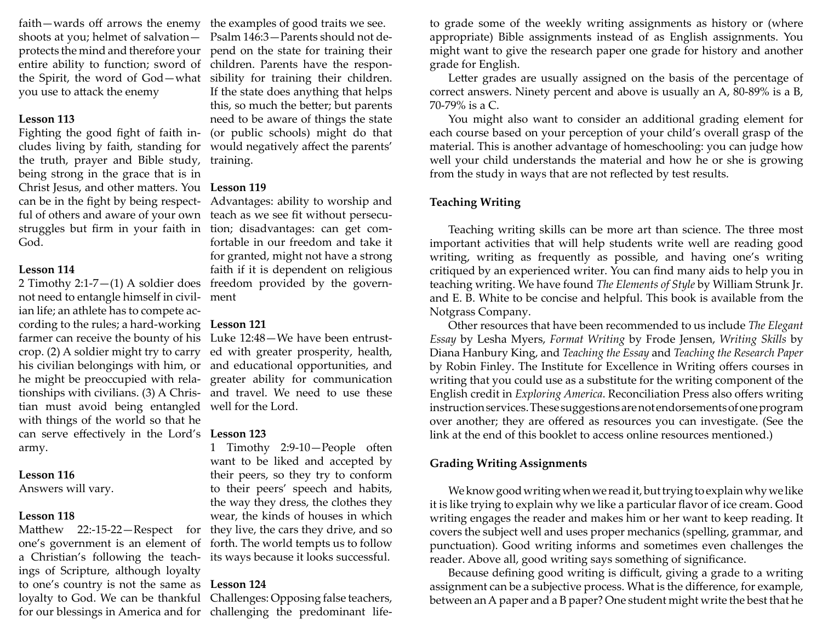faith—wards o ff arrows the enemy shoots at you; helmet of salvation you use to attack the enemy

### **Lesson 113**

the truth, prayer and Bible study, training. being strong in the grace that is in Christ Jesus, and other matters. You Lesson 119 can be in the fight by being respect- Advantages: ability to worship and God.

### **Lesson 114**

not need to entangle himself in civil-ment ian life; an athlete has to compete according to the rules; a hard-working **Lesson 121** farmer can receive the bounty of his Luke 12:48—We have been entrusttian must avoid being entangled well for the Lord. with things of the world so that he can serve effectively in the Lord's **Lesson 123** army.

### **Lesson 116**

Answers will vary.

### **Lesson 118**

ings of Scripture, although loyalty to one's country is not the same as **Lesson 124** loyalty to God. We can be thankful Challenges: Opposing false teachers,

protects the mind and therefore your pend on the state for training their entire ability to function; sword of children. Parents have the responthe Spirit, the word of God—what sibility for training their children. Fighting the good fight of faith in- (or public schools) might do that cludes living by faith, standing for would negatively affect the parents' the examples of good traits we see. Psalm 146:3—Parents should not de-If the state does anything that helps this, so much the better; but parents need to be aware of things the state

ful of others and aware of your own teach as we see fit without persecustruggles but firm in your faith in tion; disadvantages: can get com-2 Timothy 2:1-7—(1) A soldier does freedom provided by the governfortable in our freedom and take it for granted, might not have a strong faith if it is dependent on religious

crop. (2) A soldier might try to carry ed with greater prosperity, health, his civilian belongings with him, or and educational opportunities, and he might be preoccupied with rela-greater ability for communication tionships with civilians. (3) A Chris-and travel. We need to use these

Matthew 22:-15-22—Respect for they live, the cars they drive, and so one's government is an element of forth. The world tempts us to follow a Christian's following the teach-its ways because it looks successful. 1 Timothy 2:9-10—People often want to be liked and accepted by their peers, so they try to conform to their peers' speech and habits, the way they dress, the clothes they wear, the kinds of houses in which

for our blessings in America and for challenging the predominant life-

to grade some of the weekly writing assignments as history or (where appropriate) Bible assignments instead of as English assignments. You might want to give the research paper one grade for history and another grade for E

Letter grades are usually assigned on the basis of the percentage of correct answers. Ninety percent and above is usually an A, 80-89% is a B, 70-79% is a C.

You might also want to consider an additional grading element for each course based on your perception of your child's overall grasp of the material. This is another advantage of homeschooling: you can judge how well your child understands the material and how he or she is growing from the study in ways that are not reflected by test results.

# **Teaching Writing**

Teaching writing skills can be more art than science. The three most important activities that will help students write well are reading good writing, writing as frequently as possible, and having one's writing critiqued by an experienced writer. You can find many aids to help you in teaching writing. We have found *The Elements of Style* by William Strunk Jr. and E. B. White to be concise and helpful. This book is available from the Notgrass Company.

Other resources that have been recommended to us include *The Elegant Essay* by Lesha Myers, *Format Writing* by Frode Jensen, *Writing Skills* by Diana Hanbury King, and *Teaching the Essay* and *Teaching the Research Paper*  by Robin Finley. The Institute for Excellence in Writing offers courses in writing that you could use as a substitute for the writing component of the English credit in *Exploring America*. Reconciliation Press also offers writing instruction services. These suggestions are not endorsements of one program over another; they are offered as resources you can investigate. (See the link at the end of this booklet to access online resources mentioned.)

### **Grading Writing Assignments**

We know good writing when we read it, but trying to explain why we like it is like trying to explain why we like a particular flavor of ice cream. Good writing engages the reader and makes him or her want to keep reading. It covers the subject well and uses proper mechanics (spelling, grammar, and punctuation). Good writing informs and sometimes even challenges the reader. Above all, good writing says something of signi fi cance.

Because defining good writing is difficult, giving a grade to a writing assignment can be a subjective process. What is the difference, for example, between an A paper and a B paper? One student might write the best that he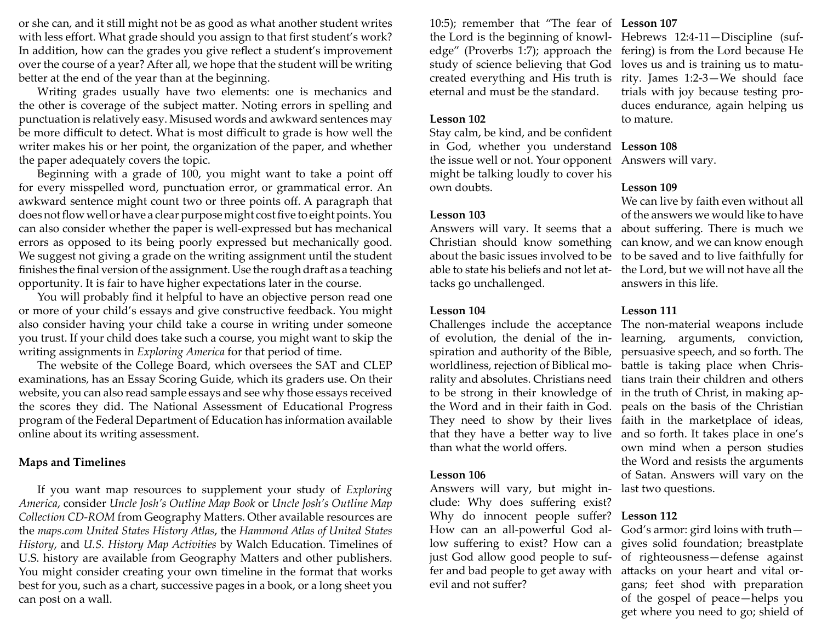or she can, and it still might not be as good as what another student writes with less effort. What grade should you assign to that first student's work? In addition, how can the grades you give reflect a student's improvement over the course of a year? After all, we hope that the student will be writing better at the end of the year than at the beginning.

Writing grades usually have two elements: one is mechanics and the other is coverage of the subject matter. Noting errors in spelling and punctuation is relatively easy. Misused words and awkward sentences may be more di ffi cult to detect. What is most di ffi cult to grade is how well the writer makes his or her point, the organization of the paper, and whether the paper adequately covers the topic.

Beginning with a grade of 100, you might want to take a point o ff for every misspelled word, punctuation error, or grammatical error. An awkward sentence might count two or three points o ff . A paragraph that does not flow well or have a clear purpose might cost five to eight points. You can also consider whether the paper is well-expressed but has mechanical errors as opposed to its being poorly expressed but mechanically good. We suggest not giving a grade on the writing assignment until the student finishes the final version of the assignment. Use the rough draft as a teaching opportunity. It is fair to have higher expectations later in the course.

You will probably find it helpful to have an objective person read one or more of your child's essays and give constructive feedback. You might also consider having your child take a course in writing under someone you trust. If your child does take such a course, you might want to skip the writing assignments in *Exploring America* for that period of time.

The website of the College Board, which oversees the SAT and CLEP examinations, has an Essay Scoring Guide, which its graders use. On their website, you can also read sample essays and see why those essays received the scores they did. The National Assessment of Educational Progress program of the Federal Department of Education has information available online about its writing assessment.

# **Maps and Timelines**

If you want map resources to supplement your study of *Exploring America*, consider *Uncle Josh's Outline Map Book* or *Uncle Josh's Outline Map*  Collection CD-ROM from Geography Matters. Other available resources are the *maps.com United States History Atlas*, the *Hammond Atlas of United States History*, and *U.S. History Map Activities* by Walch Education. Timelines of U.S. history are available from Geography Matters and other publishers. You might consider creating your own timeline in the format that works best for you, such as a chart, successive pages in a book, or a long sheet you can post on a wall.

10:5); remember that "The fear of **Lesson 107** the Lord is the beginning of knowlstudy of science believing that God loves us and is training us to matueternal and must be the standard.

### **Lesson 102**

Stay calm, be kind, and be confident in God, whether you understand the issue well or not. Your opponent Answers will vary. might be talking loudly to cover his own doubts.

### **Lesson 103**

Answers will vary. It seems that a Christian should know something about the basic issues involved to be able to state his beliefs and not let attacks go unchallenged.

### **Lesson 104**

Challenges include the acceptance of evolution, the denial of the inspiration and authority of the Bible, worldliness, rejection of Biblical morality and absolutes. Christians need to be strong in their knowledge of that they have a better way to live than what the world offers.

# **Lesson 106**

Answers will vary, but might include: Why does suffering exist? Why do innocent people suffer? **Lesson 112** How can an all-powerful God allow suffering to exist? How can a just God allow good people to suffer and bad people to get away with evil and not suffer?

edge" (Proverbs 1:7); approach the fering) is from the Lord because He created everything and His truth is rity. James 1:2-3—We should face Hebrews 12:4-11—Discipline (suftrials with joy because testing produces endurance, again helping us to mature.

### **Lesson 108**

### **Lesson 109**

We can live by faith even without all of the answers we would like to have about suffering. There is much we can know, and we can know enough to be saved and to live faithfully for the Lord, but we will not have all the answers in this life.

# **Lesson 111**

the Word and in their faith in God. peals on the basis of the Christian They need to show by their lives faith in the marketplace of ideas, The non-material weapons include learning, arguments, conviction, persuasive speech, and so forth. The battle is taking place when Christians train their children and others in the truth of Christ, in making apand so forth. It takes place in one's own mind when a person studies the Word and resists the arguments of Satan. Answers will vary on the last two questions.

God's armor: gird loins with truth gives solid foundation; breastplate of righteousness—defense against attacks on your heart and vital organs; feet shod with preparation of the gospel of peace—helps you get where you need to go; shield of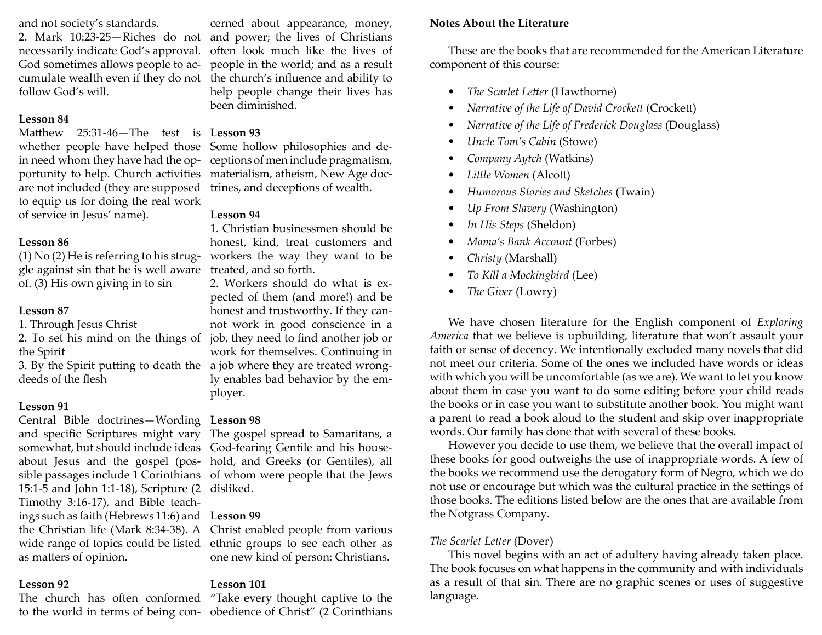and not society's standards.

2. Mark 10:23-25—Riches do not necessarily indicate God's approval. God sometimes allows people to acfollow God's will.

### **Lesson 84**

Matthew 25:31-46—The test is **Lesson 93** whether people have helped those in need whom they have had the opare not included (they are supposed trines, and deceptions of wealth. to equip us for doing the real work of service in Jesus' name).

### **Lesson 86**

gle against sin that he is well aware treated, and so forth. of. (3) His own giving in to sin

# **Lesson 87**

- 1. Through Jesus Christ
- the Spirit

deeds of the flesh

# **Lesson 91**

Central Bible doctrines—Wording **Lesson 98** and speci fi c Scriptures might vary somewhat, but should include ideas God-fearing Gentile and his houseabout Jesus and the gospel (pos-hold, and Greeks (or Gentiles), all sible passages include 1 Corinthians of whom were people that the Jews 15:1-5 and John 1:1-18), Scripture (2 disliked. Timothy 3:16-17), and Bible teachings such as faith (Hebrews 11:6) and **Lesson 99** as matters of opinion.

# **Lesson 92**

cumulate wealth even if they do not fl uence and ability to cerned about appearance, money, and power; the lives of Christians often look much like the lives of people in the world; and as a result help people change their lives has been diminished.

portunity to help. Church activities materialism, atheism, New Age doc-Some hollow philosophies and deceptions of men include pragmatism,

# **Lesson 94**

(1) No (2) He is referring to his strug-workers the way they want to be 1. Christian businessmen should be honest, kind, treat customers and

2. To set his mind on the things of job, they need to find another job or 3. By the Spirit putting to death the a job where they are treated wrong-2. Workers should do what is expected of them (and more!) and be honest and trustworthy. If they cannot work in good conscience in a work for themselves. Continuing in ly enables bad behavior by the employer.

The gospel spread to Samaritans, a

the Christian life (Mark 8:34-38). A Christ enabled people from various wide range of topics could be listed ethnic groups to see each other as one new kind of person: Christians.

# **Lesson 101**

The church has often conformed "Take every thought captive to the to the world in terms of being con-obedience of Christ" (2 Corinthians

# **Notes About the Literature**

These are the books that are recommended for the American Literature component of this course:

- *The Scarlet Letter (Hawthorne)*
- Narrative of the Life of David Crockett (Crockett)
- *Narrative of the Life of Frederick Douglass* (Douglass)
- *Uncle Tom's Cabin* (Stowe)
- *Company Aytch* (Watkins)
- Little Women (Alcott)
- *Humorous Stories and Sketches* (Twain)
- *Up From Slavery* (Washington)
- *In His Steps* (Sheldon)
- *Mama's Bank Account* (Forbes)
- *Christy* (Marshall)
- *To Kill a Mockingbird* (Lee)
- *The Giver* (Lowry)

We have chosen literature for the English component of *Exploring America* that we believe is upbuilding, literature that won't assault your faith or sense of decency. We intentionally excluded many novels that did not meet our criteria. Some of the ones we included have words or ideas with which you will be uncomfortable (as we are). We want to let you know about them in case you want to do some editing before your child reads the books or in case you want to substitute another book. You might want a parent to read a book aloud to the student and skip over inappropriate words. Our family has done that with several of these books.

However you decide to use them, we believe that the overall impact of these books for good outweighs the use of inappropriate words. A few of the books we recommend use the derogatory form of Negro, which we do not use or encourage but which was the cultural practice in the settings of those books. The editions listed below are the ones that are available from the Notgrass Company.

# *The Scarlet Le tt er* (Dover)

This novel begins with an act of adultery having already taken place. The book focuses on what happens in the community and with individuals as a result of that sin. There are no graphic scenes or uses of suggestive language.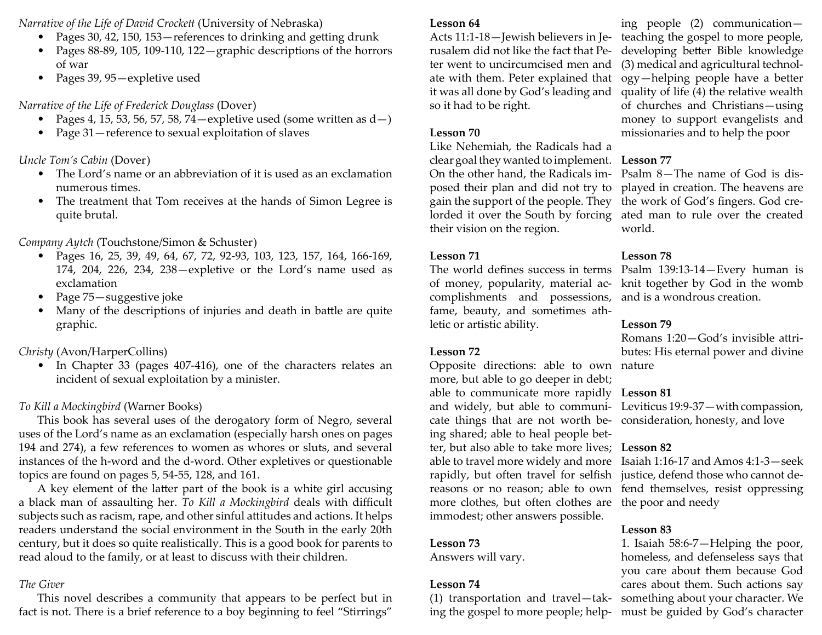*Narrative of the Life of David Crocke tt* (University of Nebraska)

- Pages 30, 42, 150, 153—references to drinking and getting drunk
- Pages 88-89, 105, 109-110, 122—graphic descriptions of the horrors of war
- Pages 39, 95—expletive used

# *Narrative of the Life of Frederick Douglass* (Dover)

- Pages 4, 15, 53, 56, 57, 58, 74—expletive used (some written as  $\mathrm{d}-\mathrm{)}$
- Page 31—reference to sexual exploitation of slaves

*Uncle Tom's Cabin* (Dover)

- The Lord's name or an abbreviation of it is used as an exclamation numerous times.
- The treatment that Tom receives at the hands of Simon Legree is quite brutal.

# *Company Aytch* (Touchstone/Simon & Schuster)

- Pages 16, 25, 39, 49, 64, 67, 72, 92-93, 103, 123, 157, 164, 166-169, 174, 204, 226, 234, 238—expletive or the Lord's name used as exclamation
- Page 75—suggestive joke
- Many of the descriptions of injuries and death in battle are quite graphic.

# *Christy* (Avon/HarperCollins)

• In Chapter 33 (pages 407-416), one of the characters relates an incident of sexual exploitation by a minister.

# *To Kill a Mockingbird* (Warner Books)

This book has several uses of the derogatory form of Negro, several uses of the Lord's name as an exclamation (especially harsh ones on pages 194 and 274), a few references to women as whores or sluts, and several instances of the h-word and the d-word. Other expletives or questionable topics are found on pages 5, 54-55, 128, and 161.

A key element of the latter part of the book is a white girl accusing a black man of assaulting her. *To Kill a Mockingbird* deals with difficult subjects such as racism, rape, and other sinful attitudes and actions. It helps readers understand the social environment in the South in the early 20th century, but it does so quite realistically. This is a good book for parents to read aloud to the family, or at least to discuss with their children.

# *The Giver*

This novel describes a community that appears to be perfect but in fact is not. There is a brief reference to a boy beginning to feel "Stirrings"

# **Lesson 64**

Acts 11:1-18—Jewish believers in Jerusalem did not like the fact that Peter went to uncircumcised men and it was all done by God's leading and so it had to be right.

# **Lesson 70**

Like Nehemiah, the Radicals had a clear goal they wanted to implement. **Lesson 77** On the other hand, the Radicals imposed their plan and did not try to gain the support of the people. They lorded it over the South by forcing their vision on the region.

# **Lesson 71**

The world defines success in terms of money, popularity, material accomplishments and possessions, fame, beauty, and sometimes athletic or artistic ability.

# **Lesson 72**

Opposite directions: able to own nature more, but able to go deeper in debt; able to communicate more rapidly **Lesson 81** and widely, but able to communi-Leviticus 19:9-37—with compassion, cate things that are not worth be-consideration, honesty, and love ing shared; able to heal people better, but also able to take more lives; **Lesson 82** able to travel more widely and more Isaiah 1:16-17 and Amos 4:1-3—seek rapidly, but often travel for selfish justice, defend those who cannot dereasons or no reason; able to own fend themselves, resist oppressing more clothes, but often clothes are the poor and needy immodest; other answers possible.

# **Lesson 73**

Answers will vary.

# **Lesson 74**

(1) transportation and travel—taking the gospel to more people; help-

ate with them. Peter explained that ogy—helping people have a better ing people (2) communication teaching the gospel to more people,<br>developing better Bible knowledge (3) medical and agricultural technolquality of life (4) the relative wealth of churches and Christians—using money to support evangelists and missionaries and to help the poor

Psalm 8—The name of God is displayed in creation. The heavens are the work of God's fingers. God created man to rule over the created world.

# **Lesson 78**

Psalm 139:13-14—Every human is knit together by God in the womb and is a wondrous creation.

# **Lesson 79**

Romans 1:20—God′s invisible attributes: His eternal power and divine

# **Lesson 83**

1. Isaiah 58:6-7—Helping the poor, homeless, and defenseless says that you care about them because God cares about them. Such actions say something about your character. We must be guided by God's character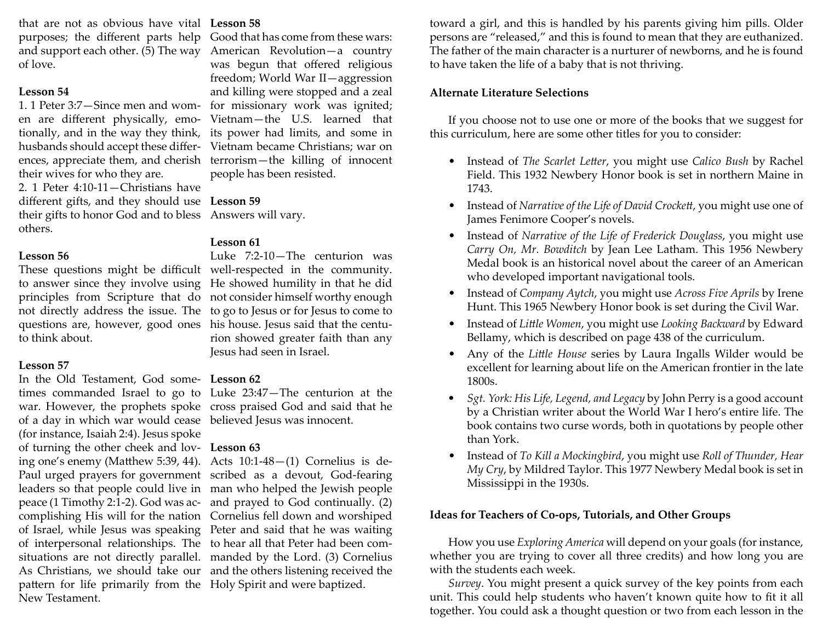that are not as obvious have vital **Lesson 58**purposes; the different parts help Good that has come from these wars: and support each other. (5) The way American Revolution—a country of love.

# **Lesson 54**

1. 1 Peter 3:7—Since men and women are different physically, emotionally, and in the way they think, husbands should accept these differtheir wives for who they are.

2. 1 Peter 4:10-11—Christians have di ff erent gifts, and they should use **Lesson 59** their gifts to honor God and to bless Answers will vary. others.

# **Lesson 56**

to think about.

# **Lesson 57**

In the Old Testament, God some-**Lesson 62**of a day in which war would cease believed Jesus was innocent. (for instance, Isaiah 2:4). Jesus spoke of turning the other cheek and lov-**Lesson 63** pattern for life primarily from the Holy Spirit and were baptized. New Testament.

ences, appreciate them, and cherish terrorism—the killing of innocent was begun that offered religious freedom; World War II—aggression and killing were stopped and a zeal for missionary work was ignited; Vietnam—the U.S. learned that its power had limits, and some in Vietnam became Christians; war on people has been resisted.

# **Lesson 61**

These questions might be difficult well-respected in the community. to answer since they involve using He showed humility in that he did principles from Scripture that do not consider himself worthy enough not directly address the issue. The to go to Jesus or for Jesus to come to questions are, however, good ones his house. Jesus said that the centu-Luke 7:2-10—The centurion was rion showed greater faith than any Jesus had seen in Israel.

times commanded Israel to go to Luke 23:47—The centurion at the war. However, the prophets spoke cross praised God and said that he

ing one's enemy (Matthew 5:39, 44). Acts 10:1-48-(1) Cornelius is de-Paul urged prayers for government scribed as a devout, God-fearing leaders so that people could live in man who helped the Jewish people peace (1 Timothy 2:1-2). God was ac-and prayed to God continually. (2) complishing His will for the nation Cornelius fell down and worshiped of Israel, while Jesus was speaking Peter and said that he was waiting of interpersonal relationships. The to hear all that Peter had been comsituations are not directly parallel. manded by the Lord. (3) Cornelius As Christians, we should take our and the others listening received the toward a girl, and this is handled by his parents giving him pills. Older persons are "released," and this is found to mean that they are euthanized. The father of the main character is a nurturer of newborns, and he is found to have taken the life of a baby that is not thriving.

# **Alternate Literature Selections**

If you choose not to use one or more of the books that we suggest for this curriculum, here are some other titles for you to consider:

- Instead of *The Scarlet Letter*, you might use *Calico Bush* by Rachel Field. This 1932 Newbery Honor book is set in northern Maine in 1743.
- Instead of *Narrative of the Life of David Crockett*, you might use one of James Fenimore Cooper's novels.
- Instead of *Narrative of the Life of Frederick Douglass*, you might use *Carry On, Mr. Bowditch* by Jean Lee Latham. This 1956 Newbery Medal book is an historical novel about the career of an American who developed important navigational tools.
- Instead of *Company Aytch*, you might use *Across Five Aprils* by Irene Hunt. This 1965 Newbery Honor book is set during the Civil War.
- Instead of *Little Women,* you might use *Looking Backward* by Edward Bellamy, which is described on page 438 of the curriculum.
- Any of the *Little House* series by Laura Ingalls Wilder would be excellent for learning about life on the American frontier in the late 1800s.
- *Sgt. York: His Life, Legend, and Legacy* by John Perry is a good account by a Christian writer about the World War I hero's entire life. The book contains two curse words, both in quotations by people other than York.
- Instead of *To Kill a Mockingbird*, you might use *Roll of Thunder, Hear My Cry*, by Mildred Taylor. This 1977 Newbery Medal book is set in Mississippi in the 1930s.

# **Ideas for Teachers of Co-ops, Tutorials, and Other Groups**

How you use *Exploring America* will depend on your goals (for instance, whether you are trying to cover all three credits) and how long you are with the students each week.

*Survey*. You might present a quick survey of the key points from each unit. This could help students who haven't known quite how to fit it all together. You could ask a thought question or two from each lesson in the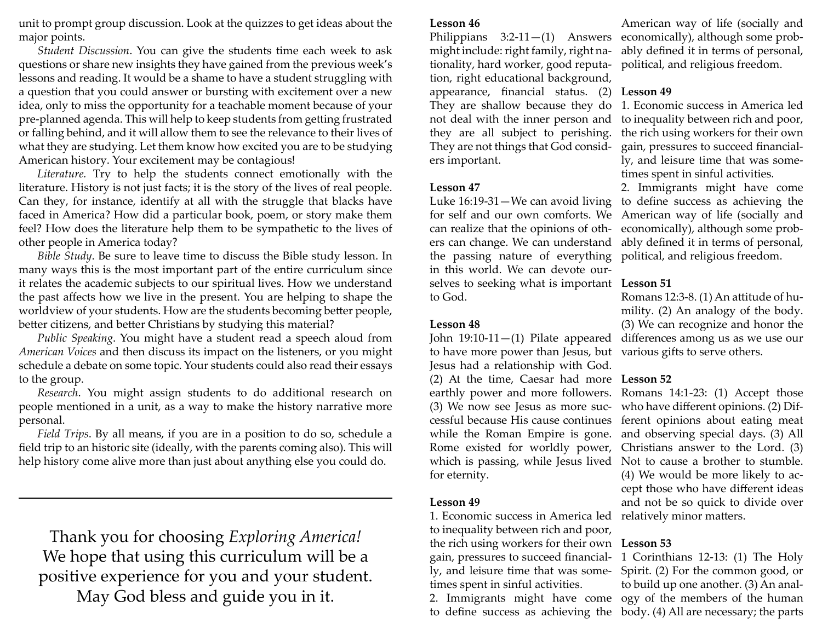unit to prompt group discussion. Look at the quizzes to get ideas about the major points.

*Student Discussion*. You can give the students time each week to ask questions or share new insights they have gained from the previous week's lessons and reading. It would be a shame to have a student struggling with a question that you could answer or bursting with excitement over a new idea, only to miss the opportunity for a teachable moment because of your pre-planned agenda. This will help to keep students from getting frustrated or falling behind, and it will allow them to see the relevance to their lives of what they are studying. Let them know how excited you are to be studying American history. Your excitement may be contagious!

Literature. Try to help the students connect emotionally with the literature. History is not just facts; it is the story of the lives of real people. Can they, for instance, identify at all with the struggle that blacks have faced in America? How did a particular book, poem, or story make them feel? How does the literature help them to be sympathetic to the lives of other people in America today?

*Bible Study*. Be sure to leave time to discuss the Bible study lesson. In many ways this is the most important part of the entire curriculum since it relates the academic subjects to our spiritual lives. How we understand the past affects how we live in the present. You are helping to shape the worldview of your students. How are the students becoming better people, better citizens, and better Christians by studying this material?

*Public Speaking*. You might have a student read a speech aloud from *American Voices* and then discuss its impact on the listeners, or you might schedule a debate on some topic. Your students could also read their essays to the group.

*Research*. You might assign students to do additional research on people mentioned in a unit, as a way to make the history narrative more personal.

*Field Trips*. By all means, if you are in a position to do so, schedule a field trip to an historic site (ideally, with the parents coming also). This will help history come alive more than just about anything else you could do.

Thank you for choosing *Exploring America!* We hope that using this curriculum will be a positive experience for you and your student. May God bless and guide you in it.

# **Lesson 46**

Philippians  $3:2-11-(1)$  Answers might include: right family, right nationality, hard worker, good reputation, right educational background, appearance*,* financial status. (2) **Lesson49** They are shallow because they do not deal with the inner person and they are all subject to perishing. They are not things that God considers important.

### **Lesson 47**

Luke 16:19-31—We can avoid living for self and our own comforts. We can realize that the opinions of others can change. We can understand the passing nature of everything in this world. We can devote ourselves to seeking what is important **Lesson 51** to God.

### **Lesson 48**

John  $19:10-11-(1)$  Pilate appeared to have more power than Jesus, but various gifts to serve others. Jesus had a relationship with God. (2) At the time, Caesar had more **Lesson 52** earthly power and more followers. (3) We now see Jesus as more successful because His cause continues while the Roman Empire is gone. Rome existed for worldly power, which is passing, while Jesus lived Not to cause a brother to stumble. for eternity.

# **Lesson 49**

1. Economic success in America led relatively minor matters. to inequality between rich and poor, the rich using workers for their own gain, pressures to succeed financially, and leisure time that was sometimes spent in sinful activities.

2. Immigrants might have come to define success as achieving the

American way of life (socially and economically), although some probably de fi ned it in terms of personal, political, and religious freedom.

1. Economic success in America led to inequality between rich and poor, the rich using workers for their own gain, pressures to succeed financially, and leisure time that was sometimes spent in sinful activities.

2. Immigrants might have come to define success as achieving the American way of life (socially and economically), although some probably de fi ned it in terms of personal, political, and religious freedom.

Romans 12:3-8. (1) An attitude of humility. (2) An analogy of the body. (3) We can recognize and honor the differences among us as we use our

Romans 14:1-23: (1) Accept those who have different opinions. (2) Different opinions about eating meat and observing special days. (3) All Christians answer to the Lord. (3) (4) We would be more likely to accept those who have different ideas and not be so quick to divide over

# **Lesson 53**

1 Corinthians 12-13: (1) The Holy Spirit. (2) For the common good, or to build up one another. (3) An analogy of the members of the human body. (4) All are necessary; the parts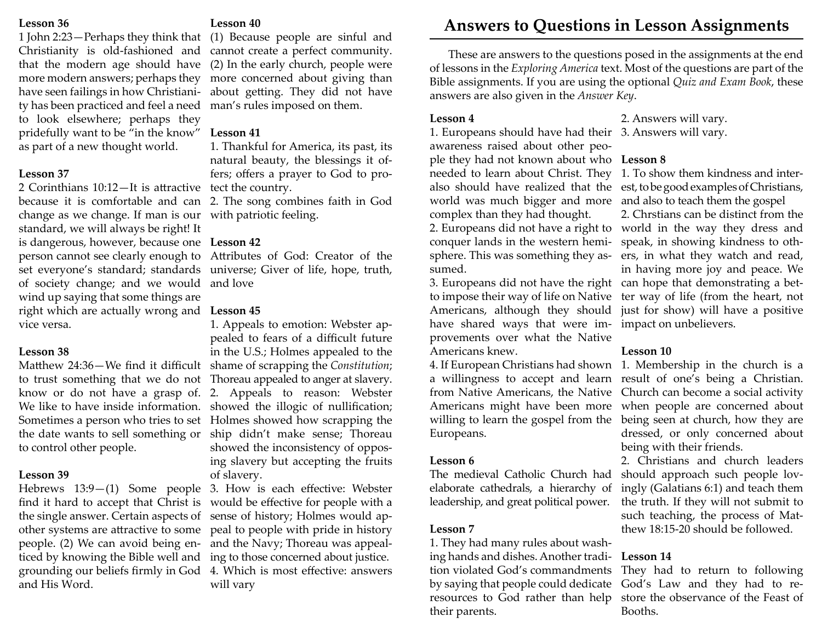### **Lesson 36**

1 John 2:23—Perhaps they think that that the modern age should have more modern answers; perhaps they have seen failings in how Christianity has been practiced and feel a need to look elsewhere; perhaps they pridefully want to be "in the know" **Lesson 41** as part of a new thought world.

### **Lesson 37**

2 Corinthians 10:12—It is attractive tect the country. because it is comfortable and can 2. The song combines faith in God change as we change. If man is our with patriotic feeling. standard, we will always be right! It is dangerous, however, because one **Lesson 42**of society change; and we would and love wind up saying that some things are right which are actually wrong and **Lesson 45** vice versa.

### **Lesson 38**

to control other people.

# **Lesson 39**

and His Word.

# **Lesson 40**

Christianity is old-fashioned and cannot create a perfect community. (1) Because people are sinful and (2) In the early church, people were more concerned about giving than about getting. They did not have man's rules imposed on them.

1. Thankful for America, its past, its natural beauty, the blessings it offers; offers a prayer to God to pro-

person cannot see clearly enough to Attributes of God: Creator of the set everyone's standard; standards universe; Giver of life, hope, truth,

Matthew 24:36—We find it difficult shame of scrapping the *Constitution*; to trust something that we do not Thoreau appealed to anger at slavery. know or do not have a grasp of. 2. Appeals to reason: Webster We like to have inside information. showed the illogic of nullification; Sometimes a person who tries to set Holmes showed how scrapping the the date wants to sell something or ship didn't make sense; Thoreau 1. Appeals to emotion: Webster appealed to fears of a difficult future in the U.S.; Holmes appealed to the showed the inconsistency of opposing slavery but accepting the fruits of slavery.

Hebrews 13:9–(1) Some people 3. How is each effective: Webster find it hard to accept that Christ is would be effective for people with a the single answer. Certain aspects of sense of history; Holmes would apother systems are attractive to some peal to people with pride in history people. (2) We can avoid being en-and the Navy; Thoreau was appealticed by knowing the Bible well and ing to those concerned about justice. grounding our beliefs firmly in God 4. Which is most effective: answers will vary

# **Answers to Questions in Lesson Assignments**

These are answers to the questions posed in the assignments at the end of lessons in the *Exploring America* text. Most of the questions are part of the Bible assignments. If you are using the optional *Quiz and Exam Book*, these answers are also given in the *Answer Key*.

# **Lesson 4**

1. Europeans should have had their 3. Answers will vary. awareness raised about other people they had not known about who **Lesson 8** needed to learn about Christ. They 1. To show them kindness and interworld was much bigger and more and also to teach them the gospel complex than they had thought. conquer lands in the western hemi-speak, in showing kindness to othsumed.

have shared ways that were im-impact on unbelievers. provements over what the Native Americans knew.

Europeans.

# **Lesson 6**

The medieval Catholic Church had elaborate cathedrals, a hierarchy of leadership, and great political power.

# **Lesson 7**

1. They had many rules about washing hands and dishes. Another tradition violated God's commandments They had to return to following by saying that people could dedicate God's Law and they had to reresources to God rather than help store the observance of the Feast of their parents.

2. Answers will vary.

also should have realized that the est, to be good examples of Christians, 2. Europeans did not have a right to world in the way they dress and sphere. This was something they as-ers, in what they watch and read, 3. Europeans did not have the right can hope that demonstrating a betto impose their way of life on Native ter way of life (from the heart, not Americans, although they should just for show) will have a positive 2. Chrstians can be distinct from the in having more joy and peace. We

# **Lesson 10**

4. If European Christians had shown 1. Membership in the church is a a willingness to accept and learn result of one's being a Christian. from Native Americans, the Native Church can become a social activity Americans might have been more when people are concerned about willing to learn the gospel from the being seen at church, how they are dressed, or only concerned about being with their friends.

2. Christians and church leaders should approach such people lovingly (Galatians 6:1) and teach them the truth. If they will not submit to such teaching, the process of Matthew 18:15-20 should be followed.

# **Lesson 14**

Booths.